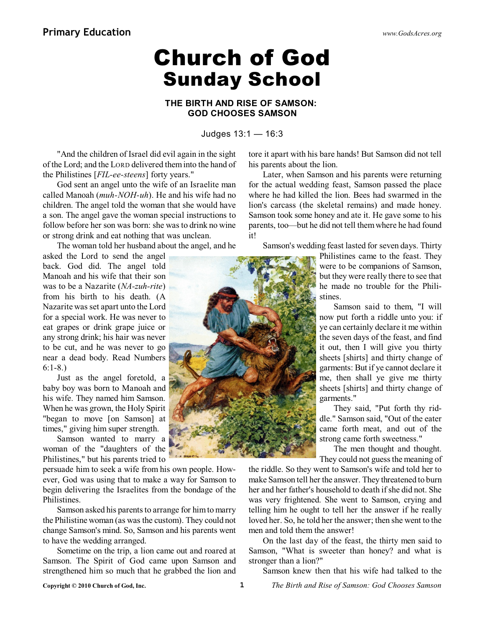## **Church of God Sunday School**

## **THE BIRTH AND RISE OF SAMSON: GOD CHOOSES SAMSON**

Judges 13:1 — 16:3

"And the children of Israel did evil again in the sight of the Lord; and the LORD delivered theminto the hand of the Philistines [*FIL-ee-steens*] forty years."

God sent an angel unto the wife of an Israelite man called Manoah (*muh-NOH-uh*). He and his wife had no children. The angel told the woman that she would have a son. The angel gave the woman special instructions to follow before her son was born: she was to drink no wine or strong drink and eat nothing that was unclean.

The woman told her husband about the angel, and he

asked the Lord to send the angel back. God did. The angel told Manoah and his wife that their son was to be a Nazarite (*NA-zuh-rite*) from his birth to his death. (A Nazarite was set apart unto the Lord for a special work. He was never to eat grapes or drink grape juice or any strong drink; his hair was never to be cut, and he was never to go near a dead body. Read Numbers 6:1-8.)

Just as the angel foretold, a baby boy was born to Manoah and his wife. They named him Samson. When he was grown, the Holy Spirit "began to move [on Samson] at times," giving him super strength.

Samson wanted to marry a woman of the "daughters of the Philistines," but his parents tried to

persuade him to seek a wife from his own people. However, God was using that to make a way for Samson to begin delivering the Israelites from the bondage of the Philistines.

Samson asked his parents to arrange for himto marry the Philistine woman (as was the custom). They could not change Samson's mind. So, Samson and his parents went to have the wedding arranged.

Sometime on the trip, a lion came out and roared at Samson. The Spirit of God came upon Samson and strengthened him so much that he grabbed the lion and tore it apart with his bare hands! But Samson did not tell his parents about the lion.

Later, when Samson and his parents were returning for the actual wedding feast, Samson passed the place where he had killed the lion. Bees had swarmed in the lion's carcass (the skeletal remains) and made honey. Samson took some honey and ate it. He gave some to his parents, too—but he did not tell themwhere he had found it!

Samson's wedding feast lasted for seven days. Thirty

Philistines came to the feast. They were to be companions of Samson, but they were really there to see that he made no trouble for the Philistines.

Samson said to them, "I will now put forth a riddle unto you: if ye can certainly declare it me within the seven days of the feast, and find it out, then I will give you thirty sheets [shirts] and thirty change of garments: But if ye cannot declare it me, then shall ye give me thirty sheets [shirts] and thirty change of garments."

They said, "Put forth thy riddle." Samson said, "Out of the eater came forth meat, and out of the strong came forth sweetness."

The men thought and thought. They could not guess the meaning of

the riddle. So they went to Samson's wife and told her to make Samson tell her the answer. They threatened to burn her and her father's household to death ifshe did not. She was very frightened. She went to Samson, crying and telling him he ought to tell her the answer if he really loved her. So, he told her the answer; then she went to the men and told them the answer!

On the last day of the feast, the thirty men said to Samson, "What is sweeter than honey? and what is stronger than a lion?"

Samson knew then that his wife had talked to the